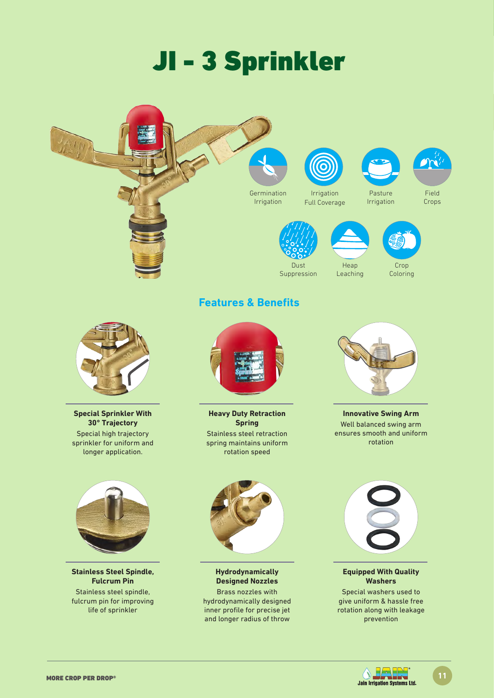# JI - 3 Sprinkler